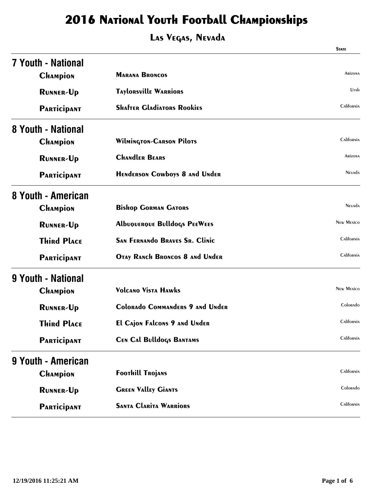|                           |                                        | <b>STATE</b>      |
|---------------------------|----------------------------------------|-------------------|
| <b>7 Youth - National</b> |                                        |                   |
| <b>CHAMPION</b>           | <b>MARANA BRONCOS</b>                  | <b>ARIZONA</b>    |
| <b>RUNNER-Up</b>          | <b>TAYLORSVILLE WARRIORS</b>           | Utah              |
| <b>PARTICIPANT</b>        | <b>SHAFTER GLADIATORS ROOKIES</b>      | California        |
| 8 Youth - National        |                                        |                   |
| <b>CHAMPION</b>           | <b>Wilmington-CARSON Pilots</b>        | California        |
| <b>RUNNER-Up</b>          | <b>CHANDLER BEARS</b>                  | <b>ARIZONA</b>    |
| <b>PARTICIPANT</b>        | <b>HENDERSON COWDOYS 8 AND UNDER</b>   | <b>NEVADA</b>     |
| 8 Youth - American        |                                        |                   |
| <b>CHAMPION</b>           | <b>Bishop GORMAN GATORS</b>            | <b>NEVADA</b>     |
| <b>RUNNER-Up</b>          | <b>AlbuQUERQUE BulldoGS PEEWEES</b>    | <b>NEW MEXICO</b> |
| <b>Third Place</b>        | <b>SAN FERNANDO BRAVES SR. Clinic</b>  | California        |
| <b>PARTICIPANT</b>        | OTAY RANCH BRONCOS 8 ANd UNder         | California        |
| 9 Youth - National        |                                        |                   |
| <b>CHAMPION</b>           | <b>Volcano Vista Hawks</b>             | <b>New Mexico</b> |
| <b>RUNNER-Up</b>          | <b>Colorado Commanders 9 and Under</b> | Colorado          |
| <b>Third Place</b>        | <b>El Cajon Falcons 9 and Under</b>    | California        |
| <b>PARTICIPANT</b>        | <b>CEN CAL Bulldogs BANTAMS</b>        | California        |
| 9 Youth - American        |                                        |                   |
| <b>CHAMPION</b>           | <b>Foothill Trojans</b>                | California        |
| <b>RUNNER-Up</b>          | <b>GREEN VALLEY GIANTS</b>             | Colorado          |
| <b>PARTICIPANT</b>        | <b>SANTA CLARITA WARRIORS</b>          | California        |
|                           |                                        |                   |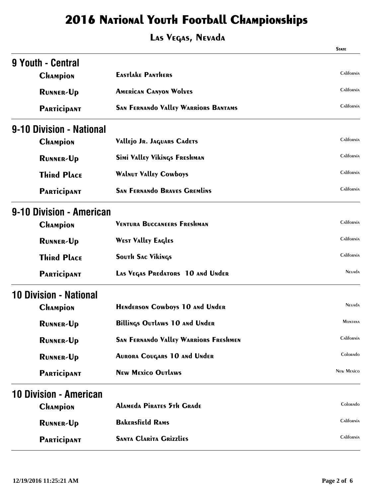|                               |                                              | <b>STATE</b>      |
|-------------------------------|----------------------------------------------|-------------------|
| 9 Youth - Central             |                                              |                   |
| <b>CHAMPION</b>               | <b>EASTLAKE PANTHERS</b>                     | California        |
| <b>RUNNER-Up</b>              | <b>AMERICAN CANYON WOLVES</b>                | California        |
| <b>PARTICIPANT</b>            | <b>SAN FERNANDO VALLEY WARRIORS BANTAMS</b>  | California        |
| 9-10 Division - National      |                                              |                   |
| <b>CHAMPION</b>               | Vallejo Jr. Jaquars Cadets                   | California        |
| <b>RUNNER-Up</b>              | Simi Valley Vikings Freshman                 | California        |
| <b>Third Place</b>            | <b>WALNUT VALLEY COWbOYS</b>                 | California        |
| PARTICIPANT                   | <b>SAN FERNANDO BRAVES GREMLINS</b>          | California        |
| 9-10 Division - American      |                                              |                   |
| <b>CHAMPION</b>               | <b>VENTURA BUCCANEERS FRESHMAN</b>           | California        |
| <b>RUNNER-Up</b>              | <b>WEST VALLEY EAGLES</b>                    | California        |
| <b>Third Place</b>            | <b>SOUTH SAC Vikings</b>                     | California        |
| <b>PARTICIPANT</b>            | LAS VEGAS PREdATORS 10 ANd UNdER             | <b>NEVADA</b>     |
| <b>10 Division - National</b> |                                              |                   |
| <b>CHAMPION</b>               | <b>HENDERSON COWDOYS 10 AND UNDER</b>        | <b>NEVADA</b>     |
| <b>RUNNER-Up</b>              | <b>Billings Outlaws 10 and Under</b>         | <b>MONTANA</b>    |
| <b>RUNNER-Up</b>              | <b>SAN FERNANDO VALLEY WARRIORS FRESHMEN</b> | California        |
| <b>RUNNER-Up</b>              | <b>AURORA COUGARS 10 AND UNDER</b>           | Colorado          |
| <b>PARTICIPANT</b>            | <b>New Mexico Outlaws</b>                    | <b>NEW MEXICO</b> |
| <b>10 Division - American</b> |                                              |                   |
| <b>CHAMPION</b>               | <b>Alameda Pirates 5th Grade</b>             | Colorado          |
| <b>RUNNER-Up</b>              | <b>BAKERSfield RAMS</b>                      | California        |
| <b>PARTICIPANT</b>            | <b>SANTA CLARITA GRIZZLIES</b>               | California        |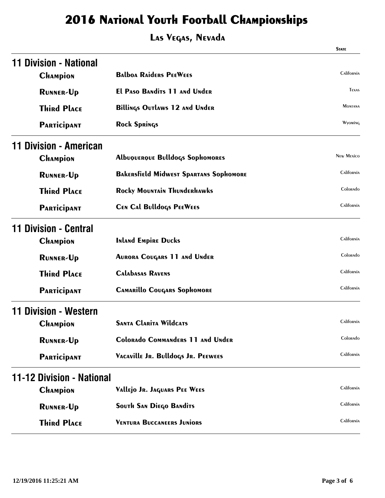|                                  |                                               | <b>STATE</b>      |
|----------------------------------|-----------------------------------------------|-------------------|
| 11 Division - National           |                                               |                   |
| <b>CHAMPION</b>                  | <b>BALDOA RAIDERS PEEWEES</b>                 | California        |
| <b>RUNNER-Up</b>                 | <b>El PASO BANDITS 11 AND UNDER</b>           | <b>TEXAS</b>      |
| <b>Third Place</b>               | <b>Billings Outlaws 12 and Under</b>          | MONTANA           |
| <b>PARTICIPANT</b>               | <b>Rock Springs</b>                           | Wyoming           |
| 11 Division - American           |                                               |                   |
| <b>CHAMPION</b>                  | <b>AlbuQUERQUE Bulldogs Sophomores</b>        | <b>NEW MEXICO</b> |
| <b>RUNNER-Up</b>                 | <b>BAKERSFIELD MIDWEST SPARTANS SOPHOMORE</b> | California        |
| <b>Third Place</b>               | <b>Rocky MOUNTAIN THUNDERHAWKS</b>            | Colorado          |
| <b>PARTICIPANT</b>               | <b>CEN CAL Bulldogs PEEWEES</b>               | California        |
| 11 Division - Central            |                                               |                   |
| <b>CHAMPION</b>                  | <b>Inland Empire Ducks</b>                    | California        |
| <b>RUNNER-Up</b>                 | <b>AURORA COUGARS 11 AND UNDER</b>            | Colorado          |
| <b>Third Place</b>               | <b>CALAbASAS RAVENS</b>                       | California        |
| <b>PARTICIPANT</b>               | <b>CAMARILLO COUGARS SOPHOMORE</b>            | California        |
| <b>Division - Western</b>        |                                               |                   |
| <b>CHAMPION</b>                  | <b>SANTA CLARITA WILDCATS</b>                 | California        |
| <b>RUNNER-Up</b>                 | <b>Colorado Commanders 11 and Under</b>       | Colorado          |
| <b>PARTICIPANT</b>               | VACAVILLE JR. Bulldogs JR. PEEWEES            | California        |
| <b>11-12 Division - National</b> |                                               |                   |
| <b>CHAMPION</b>                  | Vallejo Jr. Jaquars PEE WEES                  | California        |
| <b>RUNNER-Up</b>                 | <b>SOUTH SAN DIEGO BANDITS</b>                | California        |
| <b>Third Place</b>               | <b>VENTURA BUCCANEERS JUNIORS</b>             | California        |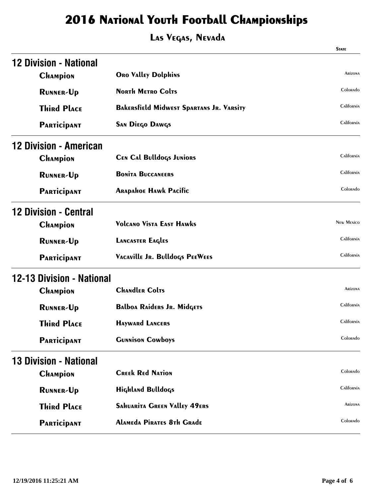| <b>12 Division - National</b><br><b>CHAMPION</b><br><b>ORO VALLEY Dolphins</b><br><b>NORTH METRO COLTS</b><br><b>RUNNER-Up</b><br><b>Third Place</b><br><b>BAKERSfield Midwest Spartans Jr. VARSITY</b><br><b>SAN Diego DAWGS</b><br><b>PARTICIPANT</b><br><b>12 Division - American</b><br><b>CEN CAL Bulldogs JUNIORS</b><br><b>CHAMPION</b><br><b>BONITA BUCCANEERS</b><br><b>RUNNER-Up</b><br><b>ARAPAHOE HAWK PACIFIC</b><br><b>PARTICIPANT</b> |                   |
|------------------------------------------------------------------------------------------------------------------------------------------------------------------------------------------------------------------------------------------------------------------------------------------------------------------------------------------------------------------------------------------------------------------------------------------------------|-------------------|
|                                                                                                                                                                                                                                                                                                                                                                                                                                                      |                   |
|                                                                                                                                                                                                                                                                                                                                                                                                                                                      | <b>Arizona</b>    |
|                                                                                                                                                                                                                                                                                                                                                                                                                                                      | Colorado          |
|                                                                                                                                                                                                                                                                                                                                                                                                                                                      | California        |
|                                                                                                                                                                                                                                                                                                                                                                                                                                                      | California        |
|                                                                                                                                                                                                                                                                                                                                                                                                                                                      |                   |
|                                                                                                                                                                                                                                                                                                                                                                                                                                                      | California        |
|                                                                                                                                                                                                                                                                                                                                                                                                                                                      | California        |
|                                                                                                                                                                                                                                                                                                                                                                                                                                                      | Colorado          |
| <b>12 Division - Central</b>                                                                                                                                                                                                                                                                                                                                                                                                                         |                   |
| <b>Volcano Vista East Hawks</b><br><b>CHAMPION</b>                                                                                                                                                                                                                                                                                                                                                                                                   | <b>NEW MEXICO</b> |
| <b>LANCASTER EAGLES</b><br><b>RUNNER-Up</b>                                                                                                                                                                                                                                                                                                                                                                                                          | California        |
| VACAVILLE JR. Bulldogs PEEWEES<br><b>PARTICIPANT</b>                                                                                                                                                                                                                                                                                                                                                                                                 | California        |
| <b>12-13 Division - National</b>                                                                                                                                                                                                                                                                                                                                                                                                                     |                   |
| <b>CHANGLER ColTS</b><br><b>CHAMPION</b>                                                                                                                                                                                                                                                                                                                                                                                                             | <b>ARIZONA</b>    |
| <b>Balboa Raiders Jr. MidGETS</b><br><b>RUNNER-Up</b>                                                                                                                                                                                                                                                                                                                                                                                                | California        |
| <b>Third Place</b><br><b>HAYWARD LANCERS</b>                                                                                                                                                                                                                                                                                                                                                                                                         | California        |
| <b>GUNNISON COWboys</b><br><b>PARTICIPANT</b>                                                                                                                                                                                                                                                                                                                                                                                                        | Colorado          |
| <b>13 Division - National</b>                                                                                                                                                                                                                                                                                                                                                                                                                        |                   |
| <b>CREEK REd NATION</b><br><b>CHAMPION</b>                                                                                                                                                                                                                                                                                                                                                                                                           | Colorado          |
| <b>Highland Bulldogs</b><br><b>RUNNER-Up</b>                                                                                                                                                                                                                                                                                                                                                                                                         | California        |
| <b>Third Place</b><br><b>SAHUARITA GREEN VALLEY 49ERS</b>                                                                                                                                                                                                                                                                                                                                                                                            | Arizona           |
| <b>Alameda Pirates 8th Grade</b><br><b>PARTICIPANT</b>                                                                                                                                                                                                                                                                                                                                                                                               | Colorado          |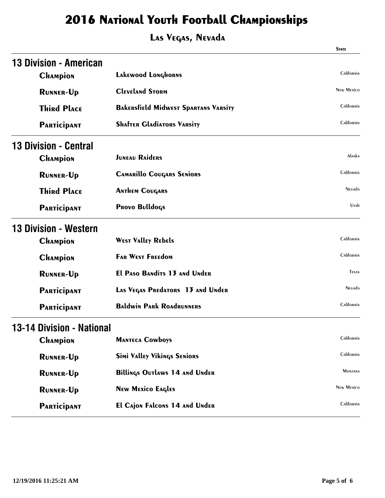|                               |                                             | <b>STATE</b>      |
|-------------------------------|---------------------------------------------|-------------------|
| <b>13 Division - American</b> |                                             |                   |
| <b>CHAMPION</b>               | Lakewood Longhorns                          | California        |
| <b>RUNNER-Up</b>              | <b>CLEVELAND STORM</b>                      | <b>NEW MEXICO</b> |
| <b>Third Place</b>            | <b>BAKERSFIELD MIDWEST SPARTANS VARSITY</b> | California        |
| <b>PARTICIPANT</b>            | <b>SHAFTER GLADIATORS VARSITY</b>           | California        |
| <b>13 Division - Central</b>  |                                             |                   |
| <b>CHAMPION</b>               | <b>JUNEAU RAIDERS</b>                       | Alaska            |
| <b>RUNNER-Up</b>              | <b>CAMARILLO COUGARS SENIORS</b>            | California        |
| <b>Third Place</b>            | <b>ANTHEM COUGARS</b>                       | <b>NEVADA</b>     |
| <b>PARTICIPANT</b>            | <b>PROVO Bulldogs</b>                       | Utah              |
| <b>13 Division - Western</b>  |                                             |                   |
| <b>CHAMPION</b>               | <b>WEST VALLEY REDELS</b>                   | California        |
| <b>CHAMPION</b>               | <b>FAR WEST FREEDOM</b>                     | California        |
| <b>RUNNER-Up</b>              | <b>El PASO BANdits 13 ANd UNder</b>         | <b>TEXAS</b>      |
| <b>PARTICIPANT</b>            | LAS VEGAS PREdATORS 13 ANd UNder            | <b>NEVADA</b>     |
| <b>PARTICIPANT</b>            | <b>BALdwin PARK ROADRUNNERS</b>             | California        |
| 13-14 Division - National     |                                             |                   |
| <b>CHAMPION</b>               | <b>MANTECA COWbOYS</b>                      | California        |
| <b>RUNNER-Up</b>              | <b>Simi Valley Vikings Seniors</b>          | California        |
| <b>RUNNER-Up</b>              | <b>Billings Outlaws 14 and Under</b>        | <b>MONTANA</b>    |
| <b>RUNNER-Up</b>              | <b>New Mexico Eagles</b>                    | <b>NEW MEXICO</b> |
| <b>PARTICIPANT</b>            | <b>El Cajon Falcons 14 and Under</b>        | California        |
|                               |                                             |                   |